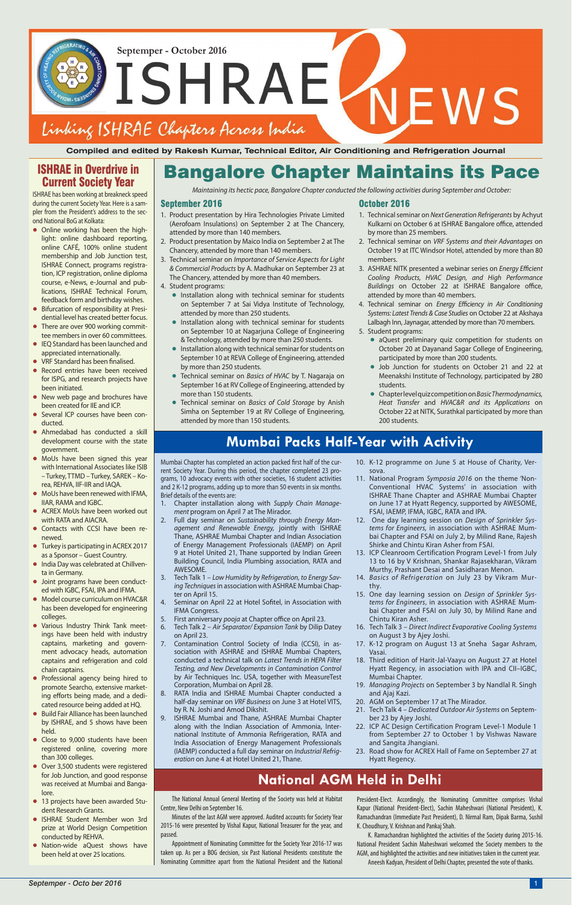Septemper - October 2016<br> **SSHRAE**<br> **NEWS** Linking ISHRAE Chapters Across India

# **Mumbai Packs Half-Year with Activity**

# **National AGM Held in Delhi**

**Compiled and edited by Rakesh Kumar, Technical Editor, Air Conditioning and Refrigeration Journal**

#### September 2016

- 1. Product presentation by Hira Technologies Private Limited (Aerofoam Insulations) on September 2 at The Chancery, attended by more than 140 members.
- 2. Product presentation by Maico India on September 2 at The Chancery, attended by more than 140 members.
- 3. Technical seminar on Importance of Service Aspects for Light & Commercial Products by A. Madhukar on September 23 at The Chancery, attended by more than 40 members.
- 4. Student programs:
	- **•** Installation along with technical seminar for students on September 7 at Sai Vidya Institute of Technology, attended by more than 250 students.
	- **•** Installation along with technical seminar for students on September 10 at Nagarjuna College of Engineering & Technology, attended by more than 250 students.
	- **•** Installation along with technical seminar for students on September 10 at REVA College of Engineering, attended by more than 250 students.
	- **•** Technical seminar on Basics of HVAC by T. Nagaraja on September 16 at RV College of Engineering, attended by more than 150 students.
	- **•** Technical seminar on Basics of Cold Storage by Anish Simha on September 19 at RV College of Engineering, attended by more than 150 students.

Mumbai Chapter has completed an action packed first half of the current Society Year. During this period, the chapter completed 23 programs, 10 advocacy events with other societies, 16 student activities and 2 K-12 programs, adding up to more than 50 events in six months. Brief details of the events are:

#### October 2016

- 1. Technical seminar on Next Generation Refrigerants by Achyut Kulkarni on October 6 at ISHRAE Bangalore office, attended by more than 25 members.
- 2. Technical seminar on VRF Systems and their Advantages on October 19 at ITC Windsor Hotel, attended by more than 80 members.
- 3. ASHRAE NITK presented a webinar series on Energy Efficient Cooling Products, HVAC Design, and High Performance Buildings on October 22 at ISHRAE Bangalore office, attended by more than 40 members.
- 4. Technical seminar on Energy Efficiency in Air Conditioning Systems: Latest Trends & Case Studies on October 22 at Akshaya Lalbagh Inn, Jaynagar, attended by more than 70 members.
- 5. Student programs:
	- **•** aQuest preliminary quiz competition for students on October 20 at Dayanand Sagar College of Engineering, participated by more than 200 students.
	- **•** Job Junction for students on October 21 and 22 at Meenakshi Institute of Technology, participated by 280 students.
	- **•** Chapter level quiz competition on Basic Thermodynamics, Heat Transfer and HVAC&R and its Applications on October 22 at NITK, Surathkal participated by more than 200 students.

- 1. Chapter installation along with Supply Chain Management program on April 7 at The Mirador.
- 2. Full day seminar on Sustainability through Energy Management and Renewable Energy, jointly with ISHRAE Thane, ASHRAE Mumbai Chapter and Indian Association of Energy Management Professionals (IAEMP) on April 9 at Hotel United 21, Thane supported by Indian Green Building Council, India Plumbing association, RATA and AWESOME.
- 3. Tech Talk 1 Low Humidity by Refrigeration, to Energy Saving Techniques in association with ASHRAE Mumbai Chapter on April 15.
- 4. Seminar on April 22 at Hotel Sofitel, in Association with IFMA Congress.
- 5. First anniversary pooja at Chapter office on April 23.
- 6. Tech Talk 2 Air Separator/ Expansion Tank by Dilip Datey on April 23.
- 7. Contamination Control Society of India (CCSI), in association with ASHRAE and ISHRAE Mumbai Chapters, conducted a technical talk on Latest Trends in HEPA Filter Testing, and New Developments in Contamination Control by Air Techniques Inc. USA, together with MeasureTest Corporation, Mumbai on April 28.
- 8. RATA India and ISHRAE Mumbai Chapter conducted a half-day seminar on VRF Business on June 3 at Hotel VITS,

by R. N. Joshi and Amod Dikshit.

- 9. ISHRAE Mumbai and Thane, ASHRAE Mumbai Chapter along with the Indian Association of Ammonia, International Institute of Ammonia Refrigeration, RATA and India Association of Energy Management Professionals (IAEMP) conducted a full day seminar on Industrial Refrigeration on June 4 at Hotel United 21, Thane.
- 21. Tech Talk 4 Dedicated Outdoor Air Systems on September 23 by Ajey Joshi.
- 22. ICP AC Design Certification Program Level-1 Module 1 from September 27 to October 1 by Vishwas Naware and Sangita Jhangiani.
- 23. Road show for ACREX Hall of Fame on September 27 at Hyatt Regency.
- 10. K-12 programme on June 5 at House of Charity, Versova.
- 11. National Program Symposia 2016 on the theme 'Non-Conventional HVAC Systems' in association with ISHRAE Thane Chapter and ASHRAE Mumbai Chapter on June 17 at Hyatt Regency, supported by AWESOME, FSAI, IAEMP, IFMA, IGBC, RATA and IPA.
- 12. One day learning session on Design of Sprinkler Systems for Engineers, in association with ASHRAE Mumbai Chapter and FSAI on July 2, by Milind Rane, Rajesh Shirke and Chintu Kiran Asher from FSAI.
- 13. ICP Cleanroom Certification Program Level-1 from July 13 to 16 by V Krishnan, Shankar Rajasekharan, Vikram Murthy, Prashant Desai and Sasidharan Menon.
- 14. Basics of Refrigeration on July 23 by Vikram Murthy.
- 15. One day learning session on Design of Sprinkler Systems for Engineers, in association with ASHRAE Mumbai Chapter and FSAI on July 30, by Milind Rane and Chintu Kiran Asher.
- 16. Tech Talk 3 Direct Indirect Evaporative Cooling Systems on August 3 by Ajey Joshi.
- 17. K-12 program on August 13 at Sneha Sagar Ashram, Vasai.
- 18. Third edition of Harit-Jal-Vaayu on August 27 at Hotel Hyatt Regency, in association with IPA and CII–IGBC, Mumbai Chapter.
- 19. Managing Projects on September 3 by Nandlal R. Singh and Ajaj Kazi.
- 20. AGM on September 17 at The Mirador.

## ISHRAE in Overdrive in Current Society Year

ISHRAE has been working at breakneck speed during the current Society Year. Here is a sampler from the President's address to the second National BoG at Kolkata:

- **•** Online working has been the highlight: online dashboard reporting. online CAFÉ, 100% online student membership and Job Junction test, ISHRAE Connect, programs registration, ICP registration, online diploma course, e-News, e-Journal and publications, ISHRAE Technical Forum, feedback form and birthday wishes.
- **•** Bifurcation of responsibility at Presidential level has created better focus.
- **•** There are over 900 working committee members in over 60 committees.
- **•** IEQ Standard has been launched and appreciated internationally.
- **VRF Standard has been finalised.**
- **•** Record entries have been received for ISPG, and research projects have been initiated.
- **•** New web page and brochures have been created for IIE and ICP.
- **•** Several ICP courses have been conducted.
- **•** Ahmedabad has conducted a skill development course with the state government.
- **•** MoUs have been signed this year with International Associates like ISIB – Turkey, TTMD – Turkey, SAREK – Korea, REHVA, IIF-IIR and IAQA.
- **•** MoUs have been renewed with IFMA, IIAR, RAMA and IGBC.
- **•** ACREX MoUs have been worked out with RATA and AIACRA.
- **•** Contacts with CCSI have been renewed.
- **•** Turkey is participating in ACREX 2017 as a Sponsor – Guest Country.
- **•** India Day was celebrated at Chillventa in Germany.
- **•** Joint programs have been conducted with IGBC, FSAI, IPA and IFMA.
- **•** Model course curriculum on HVAC&R has been developed for engineering colleges.
- **•** Various Industry Think Tank meetings have been held with industry captains, marketing and government advocacy heads, automation captains and refrigeration and cold chain captains.
- **•** Professional agency being hired to promote Searcho, extensive marketing efforts being made, and a dedicated resource being added at HQ.

Maintaining its hectic pace, Bangalore Chapter conducted the following activities during September and October:<br>Maintaining its hectic pace, Bangalore Chapter conducted the following activities during September and October

- 
- **•** Build Fair Alliance has been launched by ISHRAE, and 5 shows have been held.
- **•** Close to 9,000 students have been registered online, covering more than 300 colleges.
- **•** Over 3,500 students were registered for Job Junction, and good response was received at Mumbai and Bangalore.
- **•** 13 projects have been awarded Student Research Grants.
- **•** ISHRAE Student Member won 3rd prize at World Design Competition conducted by REHVA.
- **•** Nation-wide aQuest shows have been held at over 25 locations.

The National Annual General Meeting of the Society was held at Habitat Centre, New Delhi on September 16.

Minutes of the last AGM were approved. Audited accounts for Society Year 2015-16 were presented by Vishal Kapur, National Treasurer for the year, and passed.

Appointment of Nominating Committee for the Society Year 2016‐17 was taken up. As per a BOG decision, six Past National Presidents constitute the Nominating Committee apart from the National President and the National

President-Elect. Accordingly, the Nominating Committee comprises Vishal Kapur (National President-Elect), Sachin Maheshwari (National President), K. Ramachandran (Immediate Past President), D. Nirmal Ram, Dipak Barma, Sushil K. Choudhury, V. Krishnan and Pankaj Shah.

K. Ramachandran highlighted the activities of the Society during 2015‐16. National President Sachin Maheshwari welcomed the Society members to the AGM, and highlighted the activities and new initiatives taken in the current year. Aneesh Kadyan, President of Delhi Chapter, presented the vote of thanks.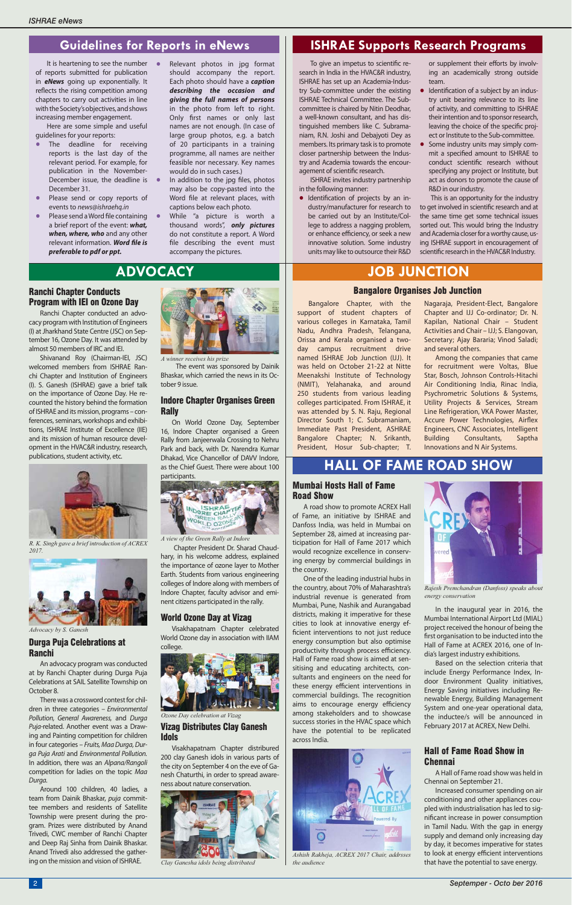The event was sponsored by Dainik Bhaskar, which carried the news in its October 9 issue.

#### Indore Chapter Organises Green **Rally**

On World Ozone Day, September 16, Indore Chapter organised a Green Rally from Janjeerwala Crossing to Nehru Park and back, with Dr. Narendra Kumar Dhakad, Vice Chancellor of DAVV Indore, as the Chief Guest. There were about 100 participants.



 Chapter President Dr. Sharad Chaudhary, in his welcome address, explained the importance of ozone layer to Mother Earth. Students from various engineering colleges of Indore along with members of Indore Chapter, faculty advisor and eminent citizens participated in the rally.

#### World Ozone Day at Vizag

Visakhapatnam Chapter celebrated World Ozone day in association with IIAM college.

Shivanand Roy (Chairman-IEI, JSC) welcomed members from ISHRAE Ranchi Chapter and Institution of Engineers (I). S. Ganesh (ISHRAE) gave a brief talk on the importance of Ozone Day. He recounted the history behind the formation of ISHRAE and its mission, programs – conferences, seminars, workshops and exhibitions, ISHRAE Institute of Excellence (IIE) and its mission of human resource development in the HVAC&R industry, research, publications, student activity, etc.

> 200 clay Ganesh idols in various parts of the city on September 4 on the eve of Ganesh Chaturthi, in order to spread awareness about nature conservation.

#### Ranchi Chapter Conducts Program with IEI on Ozone Day

Ranchi Chapter conducted an advocacy program with Institution of Engineers (I) at Jharkhand State Centre (JSC) on September 16, Ozone Day. It was attended by almost 50 members of IRC and IEI.

#### Durga Puja Celebrations at Ranchi

One of the leading industrial hubs in the country, about 70% of Maharashtra's industrial revenue is generated from Mumbai, Pune, Nashik and Aurangabad districts, making it imperative for these cities to look at innovative energy efficient interventions to not just reduce energy consumption but also optimise productivity through process efficiency. Hall of Fame road show is aimed at sensitising and educating architects, consultants and engineers on the need for these energy efficient interventions in commercial buildings. The recognition aims to encourage energy efficiency

An advocacy program was conducted at by Ranchi Chapter during Durga Puja Celebrations at SAIL Satellite Township on October 8.

There was a crossword contest for chil-



dren in three categories – Environmental Pollution, General Awareness, and Durga Puja-related. Another event was a Drawing and Painting competition for children in four categories – Fruits, Maa Durga, Durga Puja Arati and Environmental Pollution. In addition, there was an Alpana/Rangoli competition for ladies on the topic Maa Durga.

Around 100 children, 40 ladies, a team from Dainik Bhaskar, puja committee members and residents of Satellite Township were present during the program. Prizes were distributed by Anand Trivedi, CWC member of Ranchi Chapter and Deep Raj Sinha from Dainik Bhaskar. Anand Trivedi also addressed the gathering on the mission and vision of ISHRAE.

• Identification of projects by an industry/manufacturer for research to be carried out by an Institute/College to address a nagging problem, or enhance efficiency, or seek a new innovative solution. Some industry units may like to outsource their R&D

Bangalore Chapter, with the support of student chapters of various colleges in Karnataka, Tamil Nadu, Andhra Pradesh, Telangana, Orissa and Kerala organised a twoday campus recruitment drive named ISHRAE Job Junction (IJJ). It was held on October 21-22 at Nitte Meenakshi Institute of Technology (NMIT), Yelahanaka, and around 250 students from various leading colleges participated. From ISHRAE, it was attended by S. N. Raju, Regional Director South 1; C. Subramaniam, Immediate Past President, ASHRAE Bangalore Chapter; N. Srikanth, President, Hosur Sub-chapter; T.

#### Mumbai Hosts Hall of Fame Road Show

- The deadline for receiving reports is the last day of the relevant period. For example, for publication in the November-December issue, the deadline is  $\bullet$ December 31.
- **•** Please send or copy reports of events to news@ishraehq.in
- **Please send a Word file containing** a brief report of the event: *what, when, where, who* and any other relevant information. Word file is *preferable to pdf or ppt.*
- **•** Relevant photos in jpg format should accompany the report. Each photo should have a *caption describing the occasion and giving the full names of persons* in the photo from left to right. Only first names or only last names are not enough. (In case of large group photos, e.g. a batch of 20 participants in a training programme, all names are neither feasible nor necessary. Key names would do in such cases.)
- In addition to the jpg files, photos may also be copy-pasted into the Word file at relevant places, with captions below each photo.
- **•** While "a picture is worth a thousand words", *only pictures* do not constitute a report. A Word file describing the event must accompany the pictures.

or supplement their efforts by involving an academically strong outside team.

A road show to promote ACREX Hall of Fame, an initiative by ISHRAE and Danfoss India, was held in Mumbai on September 28, aimed at increasing participation for Hall of Fame 2017 which would recognize excellence in conserving energy by commercial buildings in the country.

- Identification of a subject by an industry unit bearing relevance to its line of activity, and committing to ISHRAE their intention and to sponsor research, leaving the choice of the specific project or Institute to the Sub-committee.
- **•** Some industry units may simply commit a specified amount to ISHRAE to conduct scientific research without specifying any project or Institute, but act as donors to promote the cause of R&D in our industry.

This is an opportunity for the industry to get involved in scientific research and at the same time get some technical issues sorted out. This would bring the Industry and Academia closer for a worthy cause, using ISHRAE support in encouragement of scientific research in the HVAC&R Industry.

among stakeholders and to showcase success stories in the HVAC space which have the potential to be replicated across India.



# Guidelines for Reports in eNews **INGLE** ISHRAE Supports Research Programs

To give an impetus to scientific research in India in the HVAC&R industry, ISHRAE has set up an Academia-Industry Sub-committee under the existing ISHRAE Technical Committee. The Subcommittee is chaired by Nitin Deodhar, a well-known consultant, and has distinguished members like C. Subramaniam, R.N. Joshi and Debajyoti Dey as members. Its primary task is to promote closer partnership between the Industry and Academia towards the encouragement of scientific research.

#### Bangalore Organises Job Junction

It is heartening to see the number of reports submitted for publication in *eNews* going up exponentially. It reflects the rising competition among chapters to carry out activities in line with the Society's objectives, and shows increasing member engagement.

Here are some simple and useful guidelines for your reports:

> ISHRAE invites industry partnership in the following manner:

# **ADVOCACY JOB JUNCTION**

# **HALL OF FAME ROAD SHOW**



*R. K. Singh gave a brief introduction of ACREX 2017.* 

*A winner receives his prize*

*A view of the Green Rally at Indore*



*Clay Ganesha idols being distributed*



*Ashish Rakheja, ACREX 2017 Chair, addrsses the audience*



*Rajesh Premchandran (Danfoss) speaks about energy conservation*



*Advocacy by S. Ganesh*

Nagaraja, President-Elect, Bangalore Chapter and IJJ Co-ordinator; Dr. N. Kapilan, National Chair – Student Activities and Chair – IJJ; S. Elangovan, Secretary; Ajay Bararia; Vinod Saladi; and several others.

Among the companies that came for recruitment were Voltas, Blue Star, Bosch, Johnson Controls-Hitachi Air Conditioning India, Rinac India, Psychrometric Solutions & Systems, Utility Projects & Services, Stream Line Refrigeration, VKA Power Master, Accure Power Technologies, Airflex Engineers, CNC Associates, Intelligent Building Consultants, Saptha Innovations and N Air Systems.

In the inaugural year in 2016, the Mumbai International Airport Ltd (MIAL) project received the honour of being the first organisation to be inducted into the Hall of Fame at ACREX 2016, one of India's largest industry exhibitions.

Based on the selection criteria that include Energy Performance Index, Indoor Environment Quality initiatives, Energy Saving initiatives including Renewable Energy, Building Management System and one-year operational data, the inductee/s will be announced in February 2017 at ACREX, New Delhi.

### Hall of Fame Road Show in Chennai

A Hall of Fame road show was held in Chennai on September 21.

Increased consumer spending on air conditioning and other appliances coupled with industrialisation has led to significant increase in power consumption in Tamil Nadu. With the gap in energy supply and demand only increasing day by day, it becomes imperative for states to look at energy efficient interventions that have the potential to save energy.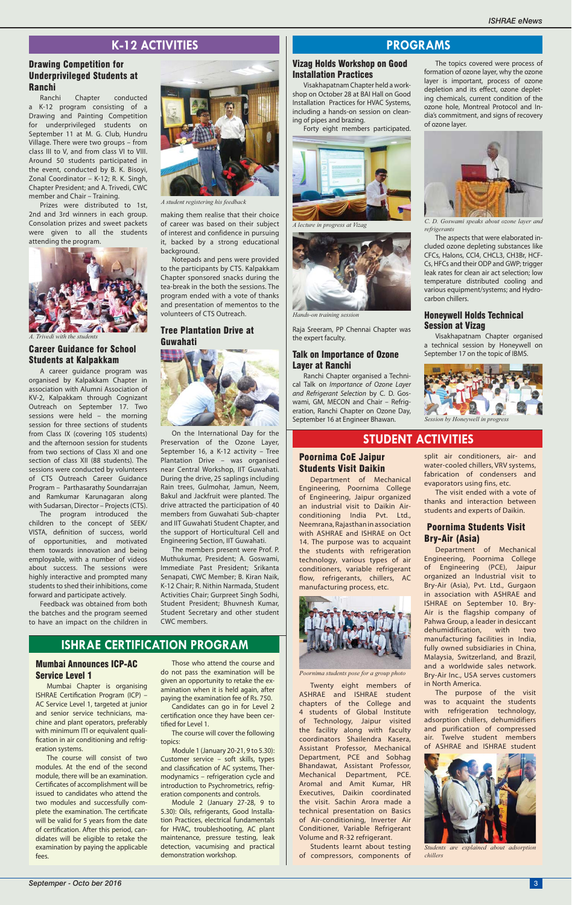## Poornima CoE Jaipur Students Visit Daikin

Department of Mechanical Engineering, Poornima College of Engineering, Jaipur organized an industrial visit to Daikin Airconditioning India Pvt. Ltd., Neemrana, Rajasthan in association with ASHRAE and ISHRAE on Oct 14. The purpose was to acquaint the students with refrigeration technology, various types of air conditioners, variable refrigerant flow, refrigerants, chillers, AC manufacturing process, etc.



Twenty eight members of ASHRAE and ISHRAE student chapters of the College and

4 students of Global Institute of Technology, Jaipur visited the facility along with faculty coordinators Shailendra Kasera, Assistant Professor, Mechanical Department, PCE and Sobhag Bhandawat, Assistant Professor, Mechanical Department, PCE. Aromal and Amit Kumar, HR Executives, Daikin coordinated the visit. Sachin Arora made a technical presentation on Basics of Air-conditioning, Inverter Air Conditioner, Variable Refrigerant Volume and R-32 refrigerant.

Candidates can go in for Level 2 certification once they have been certified for Level 1.

> Students learnt about testing of compressors, components of

#### Mumbai Announces ICP-AC Service Level 1

Mumbai Chapter is organising ISHRAE Certification Program (ICP) -AC Service Level 1, targeted at junior and senior service technicians, machine and plant operators, preferably with minimum ITI or equivalent qualification in air conditioning and refrigeration systems.

The course will consist of two modules. At the end of the second module, there will be an examination. Certificates of accomplishment will be issued to candidates who attend the two modules and successfully complete the examination. The certificate will be valid for 5 years from the date of certification. After this period, candidates will be eligible to retake the examination by paying the applicable fees.

## **ISHRAE CERTIFICATION PROGRAM**

## **STUDENT ACTIVITIES**

Those who attend the course and do not pass the examination will be given an opportunity to retake the examination when it is held again, after paying the examination fee of Rs. 750.

The course will cover the following topics:

Module 1 (January 20-21, 9 to 5.30): Customer service – soft skills, types and classification of AC systems, Thermodynamics – refrigeration cycle and introduction to Psychrometrics, refrigeration components and controls.

Module 2 (January 27-28, 9 to 5.30): Oils, refrigerants, Good Installation Practices, electrical fundamentals for HVAC, troubleshooting, AC plant maintenance, pressure testing, leak detection, vacumising and practical demonstration workshop.

# **PROGRAMS**

The topics covered were process of formation of ozone layer, why the ozone layer is important, process of ozone depletion and its effect, ozone depleting chemicals, current condition of the ozone hole, Montreal Protocol and India's commitment, and signs of recovery of ozone layer.



The aspects that were elaborated included ozone depleting substances like CFCs, Halons, CCl4, CHCL3, CH3Br, HCF-Cs, HFCs and their ODP and GWP; trigger leak rates for clean air act selection; low temperature distributed cooling and various equipment/systems; and Hydrocarbon chillers.

### Honeywell Holds Technical Session at Vizag

Visakhapatnam Chapter organised a technical session by Honeywell on September 17 on the topic of IBMS.

### Vizag Holds Workshop on Good Installation Practices

Visakhapatnam Chapter held a workshop on October 28 at BAI Hall on Good Installation Practices for HVAC Systems, including a hands-on session on cleaning of pipes and brazing.

Forty eight members participated.

Raja Sreeram, PP Chennai Chapter was the expert faculty.

#### Talk on Importance of Ozone Layer at Ranchi

Ranchi Chapter organised a Technical Talk on Importance of Ozone Layer and Refrigerant Selection by C. D. Goswami, GM, MECON and Chair – Refrigeration, Ranchi Chapter on Ozone Day, September 16 at Engineer Bhawan.



*A lecture in progress at Vizag*



*Hands-on training session*

*C. D. Goswami speaks about ozone layer and refrigerants*



*Poornima students pose for a group photo*

making them realise that their choice of career was based on their subject of interest and confidence in pursuing it, backed by a strong educational background.

Notepads and pens were provided to the participants by CTS. Kalpakkam Chapter sponsored snacks during the tea-break in the both the sessions. The program ended with a vote of thanks and presentation of mementos to the volunteers of CTS Outreach.

#### Tree Plantation Drive at Guwahati



On the International Day for the Preservation of the Ozone Layer, September 16, a K-12 activity – Tree Plantation Drive – was organised near Central Workshop, IIT Guwahati. During the drive, 25 saplings including Rain trees, Gulmohar, Jamun, Neem, Bakul and Jackfruit were planted. The drive attracted the participation of 40 members from Guwahati Sub-chapter and IIT Guwahati Student Chapter, and the support of Horticultural Cell and Engineering Section, IIT Guwahati.

The members present were Prof. P. Muthukumar, President; A. Goswami, Immediate Past President; Srikanta Senapati, CWC Member; B. Kiran Naik, K-12 Chair; R. Nithin Narmada, Student Activities Chair; Gurpreet Singh Sodhi, Student President; Bhuvnesh Kumar, Student Secretary and other student CWC members.

## Drawing Competition for Underprivileged Students at Ranchi

Ranchi Chapter conducted a K-12 program consisting of a Drawing and Painting Competition for underprivileged students on September 11 at M. G. Club, Hundru Village. There were two groups – from class III to V, and from class VI to VIII. Around 50 students participated in the event, conducted by B. K. Bisoyi, Zonal Coordinator – K-12; R. K. Singh, Chapter President; and A. Trivedi, CWC member and Chair – Training.

Prizes were distributed to 1st, 2nd and 3rd winners in each group. Consolation prizes and sweet packets were given to all the students attending the program.

## Career Guidance for School Students at Kalpakkam

A career guidance program was organised by Kalpakkam Chapter in association with Alumni Association of KV-2, Kalpakkam through Cognizant Outreach on September 17. Two sessions were held – the morning session for three sections of students from Class IX (covering 105 students) and the afternoon session for students from two sections of Class XI and one section of class XII (88 students). The sessions were conducted by volunteers of CTS Outreach Career Guidance Program – Parthasarathy Soundarrajan and Ramkumar Karunagaran along with Sudarsan, Director – Projects (CTS).

The program introduced the children to the concept of SEEK/ VISTA, definition of success, world of opportunities, and motivated them towards innovation and being employable, with a number of videos about success. The sessions were highly interactive and prompted many students to shed their inhibitions, come forward and participate actively.

Feedback was obtained from both the batches and the program seemed to have an impact on the children in

# **K-12 ACTIVITIES**



*A. Trivedi with the students*



*A student registering his feedback*

split air conditioners, air- and water-cooled chillers, VRV systems, fabrication of condensers and evaporators using fins, etc.

The visit ended with a vote of thanks and interaction between students and experts of Daikin.

#### Poornima Students Visit Bry-Air (Asia)

Department of Mechanical Engineering, Poornima College of Engineering (PCE), Jaipur organized an Industrial visit to Bry-Air (Asia), Pvt. Ltd., Gurgaon in association with ASHRAE and ISHRAE on September 10. Bry-Air is the flagship company of Pahwa Group, a leader in desiccant dehumidification, with two manufacturing facilities in India, fully owned subsidiaries in China, Malaysia, Switzerland, and Brazil, and a worldwide sales network. Bry-Air Inc., USA serves customers in North America.

The purpose of the visit was to acquaint the students with refrigeration technology, adsorption chillers, dehumidifiers and purification of compressed air. Twelve student members of ASHRAE and ISHRAE student



*Students are explained about adsorption chillers*